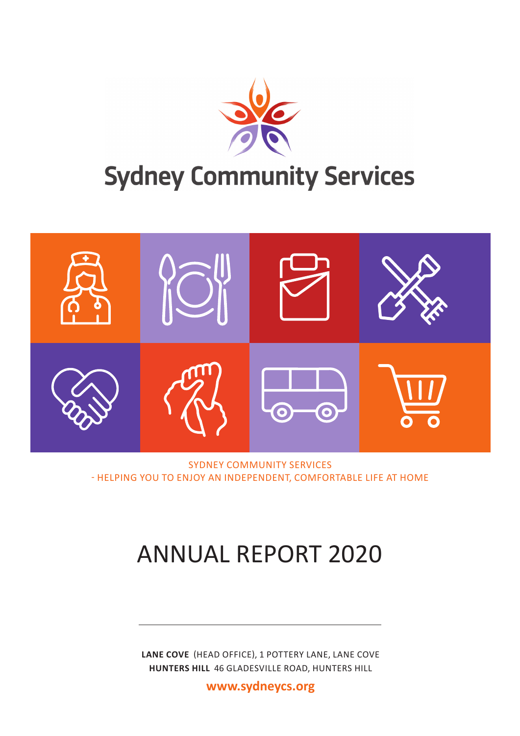



SYDNEY COMMUNITY SERVICES - HELPING YOU TO ENJOY AN INDEPENDENT, COMFORTABLE LIFE AT HOME

# ANNUAL REPORT 2020

**LANE COVE** (HEAD OFFICE), 1 POTTERY LANE, LANE COVE **HUNTERS HILL** 46 GLADESVILLE ROAD, HUNTERS HILL

**www.sydneycs.org**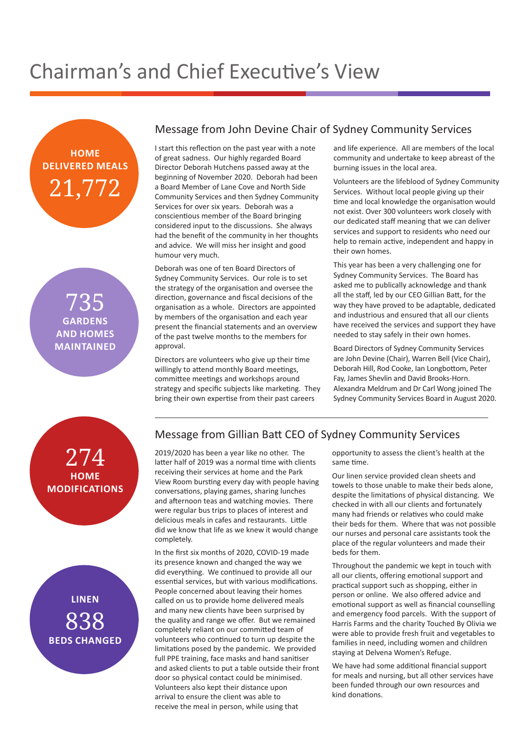# Chairman's and Chief Executive's View



735 **GARDENS AND HOMES MAINTAINED**

#### Message from John Devine Chair of Sydney Community Services

I start this reflection on the past year with a note of great sadness. Our highly regarded Board Director Deborah Hutchens passed away at the beginning of November 2020. Deborah had been a Board Member of Lane Cove and North Side Community Services and then Sydney Community Services for over six years. Deborah was a conscientious member of the Board bringing considered input to the discussions. She always had the benefit of the community in her thoughts and advice. We will miss her insight and good humour very much.

Deborah was one of ten Board Directors of Sydney Community Services. Our role is to set the strategy of the organisation and oversee the direction, governance and fiscal decisions of the organisation as a whole. Directors are appointed by members of the organisation and each year present the financial statements and an overview of the past twelve months to the members for approval.

Directors are volunteers who give up their time willingly to attend monthly Board meetings, committee meetings and workshops around strategy and specific subjects like marketing. They bring their own expertise from their past careers

and life experience. All are members of the local community and undertake to keep abreast of the burning issues in the local area.

Volunteers are the lifeblood of Sydney Community Services. Without local people giving up their time and local knowledge the organisation would not exist. Over 300 volunteers work closely with our dedicated staff meaning that we can deliver services and support to residents who need our help to remain active, independent and happy in their own homes.

This year has been a very challenging one for Sydney Community Services. The Board has asked me to publically acknowledge and thank all the staff, led by our CEO Gillian Batt, for the way they have proved to be adaptable, dedicated and industrious and ensured that all our clients have received the services and support they have needed to stay safely in their own homes.

Board Directors of Sydney Community Services are John Devine (Chair), Warren Bell (Vice Chair), Deborah Hill, Rod Cooke, Ian Longbottom, Peter Fay, James Shevlin and David Brooks-Horn. Alexandra Meldrum and Dr Carl Wong joined The Sydney Community Services Board in August 2020.





#### Message from Gillian Batt CEO of Sydney Community Services

2019/2020 has been a year like no other. The latter half of 2019 was a normal time with clients receiving their services at home and the Park View Room bursting every day with people having conversations, playing games, sharing lunches and afternoon teas and watching movies. There were regular bus trips to places of interest and delicious meals in cafes and restaurants. Little did we know that life as we knew it would change completely.

In the first six months of 2020, COVID-19 made its presence known and changed the way we did everything. We continued to provide all our essential services, but with various modifications. People concerned about leaving their homes called on us to provide home delivered meals and many new clients have been surprised by the quality and range we offer. But we remained completely reliant on our committed team of volunteers who continued to turn up despite the limitations posed by the pandemic. We provided full PPE training, face masks and hand sanitiser and asked clients to put a table outside their front door so physical contact could be minimised. Volunteers also kept their distance upon arrival to ensure the client was able to receive the meal in person, while using that

opportunity to assess the client's health at the same time.

Our linen service provided clean sheets and towels to those unable to make their beds alone, despite the limitations of physical distancing. We checked in with all our clients and fortunately many had friends or relatives who could make their beds for them. Where that was not possible our nurses and personal care assistants took the place of the regular volunteers and made their beds for them.

Throughout the pandemic we kept in touch with all our clients, offering emotional support and practical support such as shopping, either in person or online. We also offered advice and emotional support as well as financial counselling and emergency food parcels. With the support of Harris Farms and the charity Touched By Olivia we were able to provide fresh fruit and vegetables to families in need, including women and children staying at Delvena Women's Refuge.

We have had some additional financial support for meals and nursing, but all other services have been funded through our own resources and kind donations.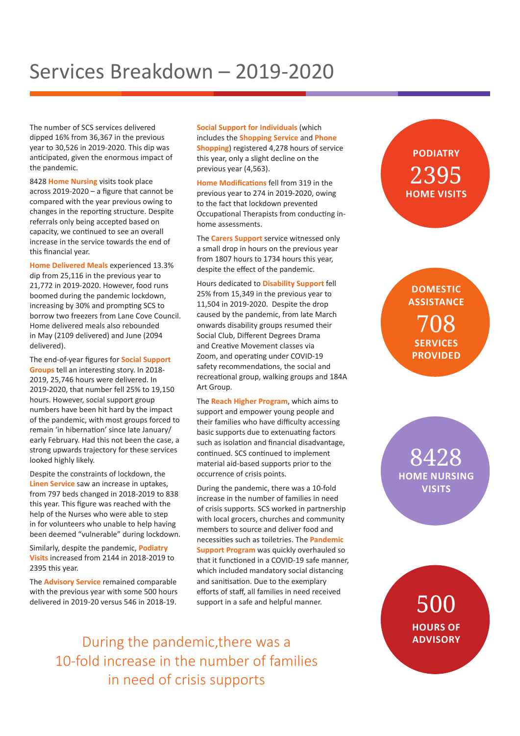## Services Breakdown – 2019-2020

The number of SCS services delivered dipped 16% from 36,367 in the previous year to 30,526 in 2019-2020. This dip was anticipated, given the enormous impact of the pandemic.

8428 **Home Nursing** visits took place across 2019-2020 – a figure that cannot be compared with the year previous owing to changes in the reporting structure. Despite referrals only being accepted based on capacity, we continued to see an overall increase in the service towards the end of this financial year.

**Home Delivered Meals** experienced 13.3% dip from 25,116 in the previous year to 21,772 in 2019-2020. However, food runs boomed during the pandemic lockdown, increasing by 30% and prompting SCS to borrow two freezers from Lane Cove Council. Home delivered meals also rebounded in May (2109 delivered) and June (2094 delivered).

The end-of-year figures for **Social Support Groups** tell an interesting story. In 2018- 2019, 25,746 hours were delivered. In 2019-2020, that number fell 25% to 19,150 hours. However, social support group numbers have been hit hard by the impact of the pandemic, with most groups forced to remain 'in hibernation' since late January/ early February. Had this not been the case, a strong upwards trajectory for these services looked highly likely.

Despite the constraints of lockdown, the **Linen Service** saw an increase in uptakes, from 797 beds changed in 2018-2019 to 838 this year. This figure was reached with the help of the Nurses who were able to step in for volunteers who unable to help having been deemed "vulnerable" during lockdown.

Similarly, despite the pandemic, **Podiatry Visits** increased from 2144 in 2018-2019 to 2395 this year.

The **Advisory Service** remained comparable with the previous year with some 500 hours delivered in 2019-20 versus 546 in 2018-19.

**Social Support for Individuals** (which includes the **Shopping Service** and **Phone Shopping**) registered 4,278 hours of service this year, only a slight decline on the previous year (4,563).

**Home Modifications** fell from 319 in the previous year to 274 in 2019-2020, owing to the fact that lockdown prevented Occupational Therapists from conducting inhome assessments.

The **Carers Support** service witnessed only a small drop in hours on the previous year from 1807 hours to 1734 hours this year, despite the effect of the pandemic.

Hours dedicated to **Disability Support** fell 25% from 15,349 in the previous year to 11,504 in 2019-2020. Despite the drop caused by the pandemic, from late March onwards disability groups resumed their Social Club, Different Degrees Drama and Creative Movement classes via Zoom, and operating under COVID-19 safety recommendations, the social and recreational group, walking groups and 184A Art Group.

The **Reach Higher Program**, which aims to support and empower young people and their families who have difficulty accessing basic supports due to extenuating factors such as isolation and financial disadvantage, continued. SCS continued to implement material aid-based supports prior to the occurrence of crisis points.

During the pandemic, there was a 10-fold increase in the number of families in need of crisis supports. SCS worked in partnership with local grocers, churches and community members to source and deliver food and necessities such as toiletries. The **Pandemic Support Program** was quickly overhauled so that it functioned in a COVID-19 safe manner, which included mandatory social distancing and sanitisation. Due to the exemplary efforts of staff, all families in need received support in a safe and helpful manner.

During the pandemic, there was a **ADVISORY** 10-fold increase in the number of families in need of crisis supports

### **PODIATRY**  2395 **HOME VISITS**

**DOMESTIC ASSISTANCE** 708 **SERVICES PROVIDED**

8428 **HOME NURSING VISITS**

> 500 **HOURS OF**